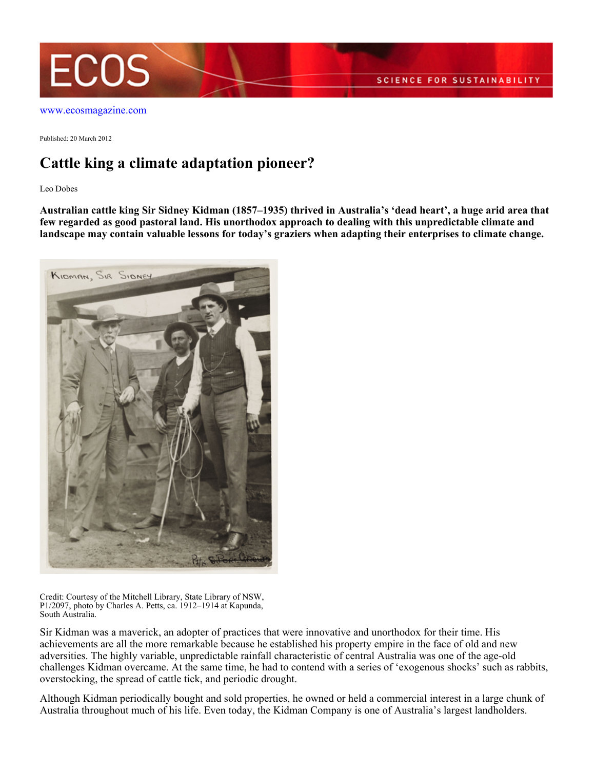

[www.ecosmagazine.com](http://www.ecosmagazine.com)

Published: 20 March 2012

## **Cattle king a climate adaptation pioneer?**

Leo Dobes

**Australian cattle king Sir Sidney Kidman (1857–1935) thrived in Australia's 'dead heart', a huge arid area that few regarded as good pastoral land. His unorthodox approach to dealing with this unpredictable climate and landscape may contain valuable lessons for today's graziers when adapting their enterprises to climate change.**



Credit: Courtesy of the Mitchell Library, State Library of NSW, P1/2097, photo by Charles A. Petts, ca. 1912–1914 at Kapunda, South Australia.

Sir Kidman was a maverick, an adopter of practices that were innovative and unorthodox for their time. His achievements are all the more remarkable because he established his property empire in the face of old and new adversities. The highly variable, unpredictable rainfall characteristic of central Australia was one of the age-old challenges Kidman overcame. At the same time, he had to contend with a series of 'exogenous shocks' such as rabbits, overstocking, the spread of cattle tick, and periodic drought.

Although Kidman periodically bought and sold properties, he owned or held a commercial interest in a large chunk of Australia throughout much of his life. Even today, the Kidman Company is one of Australia's largest landholders.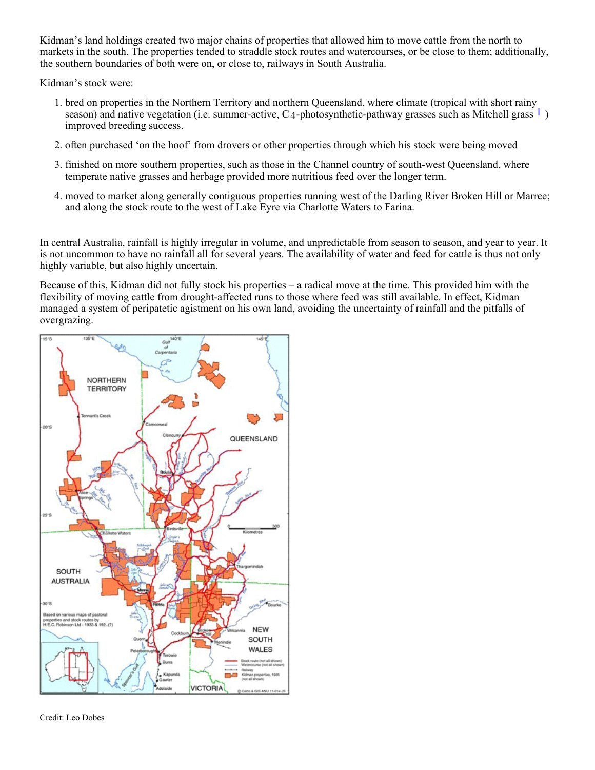Kidman's land holdings created two major chains of properties that allowed him to move cattle from the north to markets in the south. The properties tended to straddle stock routes and watercourses, or be close to them; additionally, the southern boundaries of both were on, or close to, railways in South Australia.

Kidman's stock were:

- 1. bred on properties in the Northern Territory and northern Queensland, where climate (tropical with short rainy season) and native vegetation (i.e. summer-active,  $C_4$ -photosynthetic-pathway grasses such as Mitchell grass  $\frac{1}{2}$ ) improved breeding success.
- 2. often purchased 'on the hoof' from drovers or other properties through which his stock were being moved
- 3. finished on more southern properties, such as those in the Channel country of south-west Queensland, where temperate native grasses and herbage provided more nutritious feed over the longer term.
- moved to market along generally contiguous properties running west of the Darling River Broken Hill or Marree; 4. and along the stock route to the west of Lake Eyre via Charlotte Waters to Farina.

In central Australia, rainfall is highly irregular in volume, and unpredictable from season to season, and year to year. It is not uncommon to have no rainfall all for several years. The availability of water and feed for cattle is thus not only highly variable, but also highly uncertain.

Because of this, Kidman did not fully stock his properties – a radical move at the time. This provided him with the flexibility of moving cattle from drought-affected runs to those where feed was still available. In effect, Kidman managed a system of peripatetic agistment on his own land, avoiding the uncertainty of rainfall and the pitfalls of overgrazing.